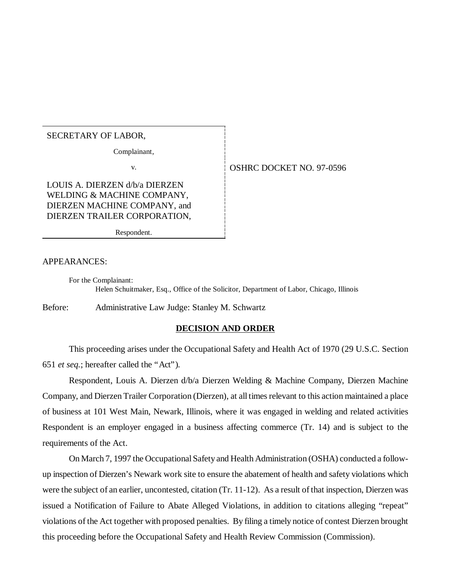## SECRETARY OF LABOR,

Complainant,

LOUIS A. DIERZEN d/b/a DIERZEN WELDING & MACHINE COMPANY, DIERZEN MACHINE COMPANY, and DIERZEN TRAILER CORPORATION,

Respondent.

#### APPEARANCES:

For the Complainant: Helen Schuitmaker, Esq., Office of the Solicitor, Department of Labor, Chicago, Illinois

Before: Administrative Law Judge: Stanley M. Schwartz

### **DECISION AND ORDER**

This proceeding arises under the Occupational Safety and Health Act of 1970 (29 U.S.C. Section 651 *et seq.*; hereafter called the "Act").

Respondent, Louis A. Dierzen d/b/a Dierzen Welding & Machine Company, Dierzen Machine Company, and Dierzen Trailer Corporation (Dierzen), at all times relevant to this action maintained a place of business at 101 West Main, Newark, Illinois, where it was engaged in welding and related activities Respondent is an employer engaged in a business affecting commerce (Tr. 14) and is subject to the requirements of the Act.

On March 7, 1997 the Occupational Safety and Health Administration (OSHA) conducted a followup inspection of Dierzen's Newark work site to ensure the abatement of health and safety violations which were the subject of an earlier, uncontested, citation (Tr. 11-12). As a result of that inspection, Dierzen was issued a Notification of Failure to Abate Alleged Violations, in addition to citations alleging "repeat" violations of the Act together with proposed penalties. By filing a timely notice of contest Dierzen brought this proceeding before the Occupational Safety and Health Review Commission (Commission).

v. 6. OSHRC DOCKET NO. 97-0596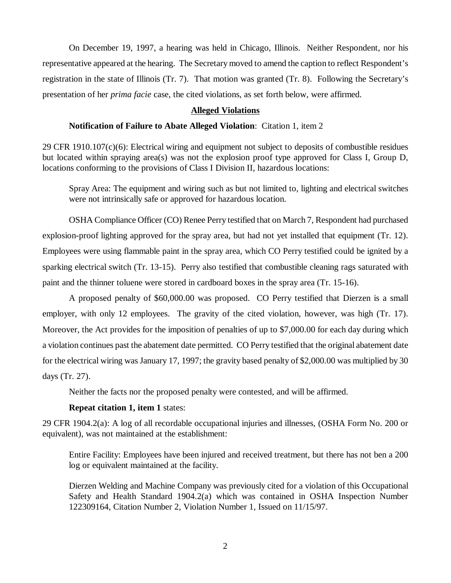On December 19, 1997, a hearing was held in Chicago, Illinois. Neither Respondent, nor his representative appeared at the hearing. The Secretary moved to amend the caption to reflect Respondent's registration in the state of Illinois (Tr. 7). That motion was granted (Tr. 8). Following the Secretary's presentation of her *prima facie* case, the cited violations, as set forth below, were affirmed.

### **Alleged Violations**

### **Notification of Failure to Abate Alleged Violation**: Citation 1, item 2

29 CFR 1910.107(c)(6): Electrical wiring and equipment not subject to deposits of combustible residues but located within spraying area(s) was not the explosion proof type approved for Class I, Group D, locations conforming to the provisions of Class I Division II, hazardous locations:

Spray Area: The equipment and wiring such as but not limited to, lighting and electrical switches were not intrinsically safe or approved for hazardous location.

OSHA Compliance Officer (CO) Renee Perry testified that on March 7, Respondent had purchased explosion-proof lighting approved for the spray area, but had not yet installed that equipment (Tr. 12). Employees were using flammable paint in the spray area, which CO Perry testified could be ignited by a sparking electrical switch (Tr. 13-15). Perry also testified that combustible cleaning rags saturated with paint and the thinner toluene were stored in cardboard boxes in the spray area (Tr. 15-16).

A proposed penalty of \$60,000.00 was proposed. CO Perry testified that Dierzen is a small employer, with only 12 employees. The gravity of the cited violation, however, was high (Tr. 17). Moreover, the Act provides for the imposition of penalties of up to \$7,000.00 for each day during which a violation continues past the abatement date permitted. CO Perry testified that the original abatement date for the electrical wiring was January 17, 1997; the gravity based penalty of \$2,000.00 was multiplied by 30 days (Tr. 27).

Neither the facts nor the proposed penalty were contested, and will be affirmed.

#### **Repeat citation 1, item 1** states:

29 CFR 1904.2(a): A log of all recordable occupational injuries and illnesses, (OSHA Form No. 200 or equivalent), was not maintained at the establishment:

Entire Facility: Employees have been injured and received treatment, but there has not ben a 200 log or equivalent maintained at the facility.

Dierzen Welding and Machine Company was previously cited for a violation of this Occupational Safety and Health Standard 1904.2(a) which was contained in OSHA Inspection Number 122309164, Citation Number 2, Violation Number 1, Issued on 11/15/97.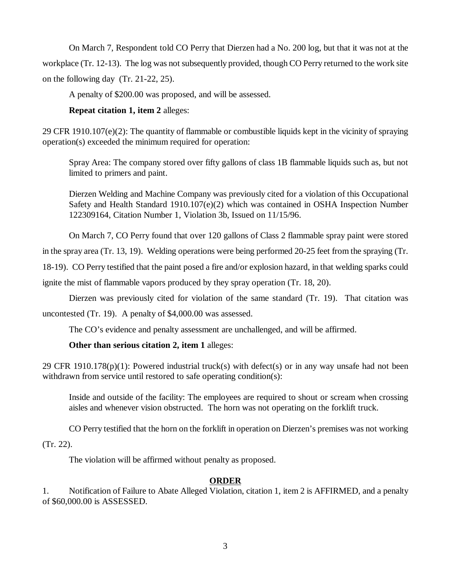On March 7, Respondent told CO Perry that Dierzen had a No. 200 log, but that it was not at the workplace (Tr. 12-13). The log was not subsequently provided, though CO Perry returned to the work site on the following day (Tr. 21-22, 25).

A penalty of \$200.00 was proposed, and will be assessed.

# **Repeat citation 1, item 2** alleges:

29 CFR 1910.107(e)(2): The quantity of flammable or combustible liquids kept in the vicinity of spraying operation(s) exceeded the minimum required for operation:

Spray Area: The company stored over fifty gallons of class 1B flammable liquids such as, but not limited to primers and paint.

Dierzen Welding and Machine Company was previously cited for a violation of this Occupational Safety and Health Standard 1910.107(e)(2) which was contained in OSHA Inspection Number 122309164, Citation Number 1, Violation 3b, Issued on 11/15/96.

On March 7, CO Perry found that over 120 gallons of Class 2 flammable spray paint were stored

in the spray area (Tr. 13, 19). Welding operations were being performed 20-25 feet from the spraying (Tr.

18-19). CO Perry testified that the paint posed a fire and/or explosion hazard, in that welding sparks could

ignite the mist of flammable vapors produced by they spray operation (Tr. 18, 20).

Dierzen was previously cited for violation of the same standard (Tr. 19). That citation was uncontested (Tr. 19). A penalty of \$4,000.00 was assessed.

The CO's evidence and penalty assessment are unchallenged, and will be affirmed.

# **Other than serious citation 2, item 1** alleges:

29 CFR 1910.178(p)(1): Powered industrial truck(s) with defect(s) or in any way unsafe had not been withdrawn from service until restored to safe operating condition(s):

Inside and outside of the facility: The employees are required to shout or scream when crossing aisles and whenever vision obstructed. The horn was not operating on the forklift truck.

CO Perry testified that the horn on the forklift in operation on Dierzen's premises was not working

(Tr. 22).

The violation will be affirmed without penalty as proposed.

# **ORDER**

1. Notification of Failure to Abate Alleged Violation, citation 1, item 2 is AFFIRMED, and a penalty of \$60,000.00 is ASSESSED.